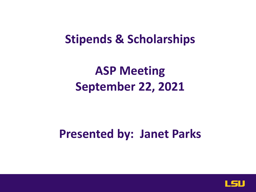#### **Stipends & Scholarships**

#### **ASP Meeting September 22, 2021**

#### **Presented by: Janet Parks**

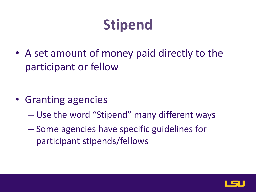## **Stipend**

• A set amount of money paid directly to the participant or fellow

- Granting agencies
	- Use the word "Stipend" many different ways
	- Some agencies have specific guidelines for participant stipends/fellows

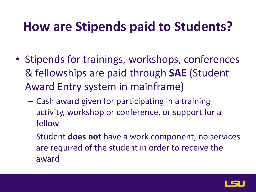#### **How are Stipends paid to Students?**

- Stipends for trainings, workshops, conferences & fellowships are paid through **SAE** (Student Award Entry system in mainframe)
	- Cash award given for participating in a training activity, workshop or conference, or support for a fellow
	- Student **does not** have a work component, no services are required of the student in order to receive the award

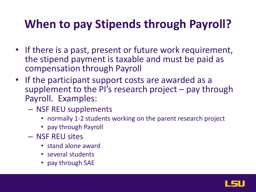#### **When to pay Stipends through Payroll?**

- If there is a past, present or future work requirement, the stipend payment is taxable and must be paid as compensation through Payroll
- If the participant support costs are awarded as a supplement to the PI's research project – pay through Payroll. Examples:
	- NSF REU supplements
		- normally 1-2 students working on the parent research project
		- pay through Payroll
	- NSF REU sites
		- stand alone award
		- several students
		- pay through SAE

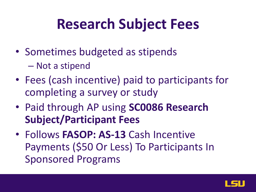#### **Research Subject Fees**

- Sometimes budgeted as stipends
	- Not a stipend
- Fees (cash incentive) paid to participants for completing a survey or study
- Paid through AP using **SC0086 Research Subject/Participant Fees**
- Follows **FASOP: AS-13** Cash Incentive Payments (\$50 Or Less) To Participants In Sponsored Programs

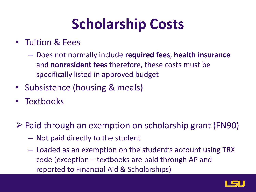## **Scholarship Costs**

- Tuition & Fees
	- Does not normally include **required fees**, **health insurance**  and **nonresident fees** therefore, these costs must be specifically listed in approved budget
- Subsistence (housing & meals)
- **Textbooks**
- $\triangleright$  Paid through an exemption on scholarship grant (FN90)
	- Not paid directly to the student
	- Loaded as an exemption on the student's account using TRX code (exception – textbooks are paid through AP and reported to Financial Aid & Scholarships)

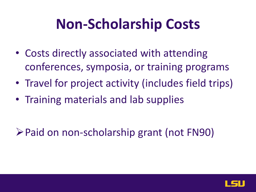## **Non-Scholarship Costs**

- Costs directly associated with attending conferences, symposia, or training programs
- Travel for project activity (includes field trips)
- Training materials and lab supplies

**≻Paid on non-scholarship grant (not FN90)** 

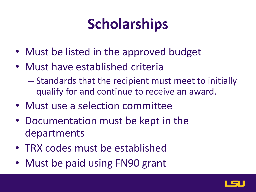## **Scholarships**

- Must be listed in the approved budget
- Must have established criteria
	- Standards that the recipient must meet to initially qualify for and continue to receive an award.
- Must use a selection committee
- Documentation must be kept in the departments
- TRX codes must be established
- Must be paid using FN90 grant

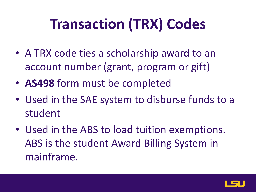# **Transaction (TRX) Codes**

- A TRX code ties a scholarship award to an account number (grant, program or gift)
- **AS498** form must be completed
- Used in the SAE system to disburse funds to a student
- Used in the ABS to load tuition exemptions. ABS is the student Award Billing System in mainframe.

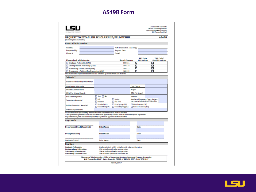#### **AS498 Form**

| <b>REQUEST TO ESTABLISH SCHOLARSHIP/FELLOWSHIP</b> | E-mail                                                                                                                                                                                    | FDM Translation (SPA only)             |                                                                                                                                                                                                                                                                                                                                                                                                                                                                  |                     |                                                                                                                                   | <b>AS498</b>                                                                                                                                                                                                                                                                                                                                                                                                               |
|----------------------------------------------------|-------------------------------------------------------------------------------------------------------------------------------------------------------------------------------------------|----------------------------------------|------------------------------------------------------------------------------------------------------------------------------------------------------------------------------------------------------------------------------------------------------------------------------------------------------------------------------------------------------------------------------------------------------------------------------------------------------------------|---------------------|-----------------------------------------------------------------------------------------------------------------------------------|----------------------------------------------------------------------------------------------------------------------------------------------------------------------------------------------------------------------------------------------------------------------------------------------------------------------------------------------------------------------------------------------------------------------------|
|                                                    |                                                                                                                                                                                           |                                        |                                                                                                                                                                                                                                                                                                                                                                                                                                                                  |                     |                                                                                                                                   |                                                                                                                                                                                                                                                                                                                                                                                                                            |
|                                                    |                                                                                                                                                                                           |                                        |                                                                                                                                                                                                                                                                                                                                                                                                                                                                  |                     |                                                                                                                                   |                                                                                                                                                                                                                                                                                                                                                                                                                            |
|                                                    |                                                                                                                                                                                           |                                        |                                                                                                                                                                                                                                                                                                                                                                                                                                                                  |                     |                                                                                                                                   |                                                                                                                                                                                                                                                                                                                                                                                                                            |
|                                                    |                                                                                                                                                                                           |                                        |                                                                                                                                                                                                                                                                                                                                                                                                                                                                  |                     |                                                                                                                                   |                                                                                                                                                                                                                                                                                                                                                                                                                            |
|                                                    |                                                                                                                                                                                           |                                        | <b>Request Date</b>                                                                                                                                                                                                                                                                                                                                                                                                                                              |                     |                                                                                                                                   |                                                                                                                                                                                                                                                                                                                                                                                                                            |
|                                                    |                                                                                                                                                                                           |                                        |                                                                                                                                                                                                                                                                                                                                                                                                                                                                  |                     |                                                                                                                                   |                                                                                                                                                                                                                                                                                                                                                                                                                            |
|                                                    |                                                                                                                                                                                           |                                        |                                                                                                                                                                                                                                                                                                                                                                                                                                                                  | <b>TRX Code</b>     |                                                                                                                                   | <b>TRX Code*</b>                                                                                                                                                                                                                                                                                                                                                                                                           |
|                                                    |                                                                                                                                                                                           | <b>Spend Category</b><br><b>SC0111</b> | п                                                                                                                                                                                                                                                                                                                                                                                                                                                                | <b>LSU Students</b> | П                                                                                                                                 | <b>Non-LSU Students</b>                                                                                                                                                                                                                                                                                                                                                                                                    |
|                                                    |                                                                                                                                                                                           |                                        |                                                                                                                                                                                                                                                                                                                                                                                                                                                                  |                     |                                                                                                                                   |                                                                                                                                                                                                                                                                                                                                                                                                                            |
|                                                    |                                                                                                                                                                                           | SC0112                                 |                                                                                                                                                                                                                                                                                                                                                                                                                                                                  |                     | п                                                                                                                                 |                                                                                                                                                                                                                                                                                                                                                                                                                            |
|                                                    |                                                                                                                                                                                           | SC0112                                 |                                                                                                                                                                                                                                                                                                                                                                                                                                                                  |                     | п                                                                                                                                 |                                                                                                                                                                                                                                                                                                                                                                                                                            |
|                                                    |                                                                                                                                                                                           |                                        |                                                                                                                                                                                                                                                                                                                                                                                                                                                                  |                     |                                                                                                                                   |                                                                                                                                                                                                                                                                                                                                                                                                                            |
|                                                    |                                                                                                                                                                                           |                                        |                                                                                                                                                                                                                                                                                                                                                                                                                                                                  |                     |                                                                                                                                   |                                                                                                                                                                                                                                                                                                                                                                                                                            |
|                                                    |                                                                                                                                                                                           |                                        |                                                                                                                                                                                                                                                                                                                                                                                                                                                                  |                     |                                                                                                                                   |                                                                                                                                                                                                                                                                                                                                                                                                                            |
|                                                    |                                                                                                                                                                                           |                                        |                                                                                                                                                                                                                                                                                                                                                                                                                                                                  |                     |                                                                                                                                   |                                                                                                                                                                                                                                                                                                                                                                                                                            |
|                                                    |                                                                                                                                                                                           |                                        | Major                                                                                                                                                                                                                                                                                                                                                                                                                                                            |                     |                                                                                                                                   |                                                                                                                                                                                                                                                                                                                                                                                                                            |
|                                                    |                                                                                                                                                                                           |                                        |                                                                                                                                                                                                                                                                                                                                                                                                                                                                  |                     |                                                                                                                                   |                                                                                                                                                                                                                                                                                                                                                                                                                            |
| Yes No                                             |                                                                                                                                                                                           |                                        |                                                                                                                                                                                                                                                                                                                                                                                                                                                                  |                     |                                                                                                                                   |                                                                                                                                                                                                                                                                                                                                                                                                                            |
| Fig.1<br>Sammer                                    | Spring<br><b>Full Year</b>                                                                                                                                                                |                                        |                                                                                                                                                                                                                                                                                                                                                                                                                                                                  |                     |                                                                                                                                   |                                                                                                                                                                                                                                                                                                                                                                                                                            |
| First Fall (11.)<br>Second Fall (1P)               |                                                                                                                                                                                           |                                        |                                                                                                                                                                                                                                                                                                                                                                                                                                                                  |                     |                                                                                                                                   |                                                                                                                                                                                                                                                                                                                                                                                                                            |
|                                                    |                                                                                                                                                                                           |                                        |                                                                                                                                                                                                                                                                                                                                                                                                                                                                  |                     |                                                                                                                                   |                                                                                                                                                                                                                                                                                                                                                                                                                            |
|                                                    |                                                                                                                                                                                           |                                        |                                                                                                                                                                                                                                                                                                                                                                                                                                                                  |                     |                                                                                                                                   |                                                                                                                                                                                                                                                                                                                                                                                                                            |
|                                                    |                                                                                                                                                                                           |                                        |                                                                                                                                                                                                                                                                                                                                                                                                                                                                  |                     |                                                                                                                                   |                                                                                                                                                                                                                                                                                                                                                                                                                            |
|                                                    |                                                                                                                                                                                           |                                        |                                                                                                                                                                                                                                                                                                                                                                                                                                                                  |                     |                                                                                                                                   |                                                                                                                                                                                                                                                                                                                                                                                                                            |
|                                                    |                                                                                                                                                                                           |                                        |                                                                                                                                                                                                                                                                                                                                                                                                                                                                  |                     |                                                                                                                                   |                                                                                                                                                                                                                                                                                                                                                                                                                            |
|                                                    |                                                                                                                                                                                           |                                        |                                                                                                                                                                                                                                                                                                                                                                                                                                                                  |                     |                                                                                                                                   |                                                                                                                                                                                                                                                                                                                                                                                                                            |
|                                                    |                                                                                                                                                                                           |                                        |                                                                                                                                                                                                                                                                                                                                                                                                                                                                  | Date                |                                                                                                                                   |                                                                                                                                                                                                                                                                                                                                                                                                                            |
| <b>Print Name</b>                                  |                                                                                                                                                                                           |                                        |                                                                                                                                                                                                                                                                                                                                                                                                                                                                  | Date                |                                                                                                                                   |                                                                                                                                                                                                                                                                                                                                                                                                                            |
|                                                    |                                                                                                                                                                                           |                                        |                                                                                                                                                                                                                                                                                                                                                                                                                                                                  |                     |                                                                                                                                   |                                                                                                                                                                                                                                                                                                                                                                                                                            |
|                                                    |                                                                                                                                                                                           |                                        |                                                                                                                                                                                                                                                                                                                                                                                                                                                                  |                     |                                                                                                                                   |                                                                                                                                                                                                                                                                                                                                                                                                                            |
|                                                    |                                                                                                                                                                                           |                                        |                                                                                                                                                                                                                                                                                                                                                                                                                                                                  |                     |                                                                                                                                   |                                                                                                                                                                                                                                                                                                                                                                                                                            |
|                                                    | Undergraduate Fellowship (SAE)<br>Scholarship - Cash Award (SAE)<br>Scholarship - Tuition/Fee Exemption (ABS)<br>Name of Scholarship/Fellowship<br><b>Print Name</b><br><b>Print Name</b> |                                        | SC0114<br>For students not required to be enrolled as a condition of award or non-LSU students.<br>First Spring (2D)<br>Second Spring (21.)<br>** Documentation of scholarship criteria and other donor restrictions must be attached.<br>** If unrestricted funds are to be used, Board of Supervisors' approval must be attached.<br>SPA → Student Aid → Bursar Operations<br>SPA → Student Aid → Bursar Operations<br>SPA -> Barsar Operations -> Student Aid |                     | п<br>п<br>□<br><b>Cost Center</b><br>GPA (To Retain)<br>Amount<br>Date<br>Graduate School → SPA → Student Aid → Bursar Operations | ⊓<br>Number of Semesters /Years Student<br>can receive Scholarship/Fellowship<br>First Summer (3D)<br>Second Summer (1D)<br>** For sponsored agreement accounts, documentation of fellowship criteria must be maintained by the department.<br>Finance and Administration + Office of Accounting Services + Spansored Program Accounting<br>240 Thomas Bayd Hall + Baton Rouge, LA 70803 + P 225-578-5337 + F 225-578-7217 |

REV 10/25/17

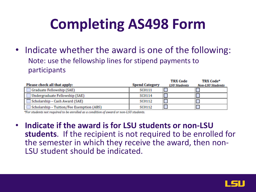# **Completing AS498 Form**

• Indicate whether the award is one of the following: Note: use the fellowship lines for stipend payments to participants

| Please check all that apply:              | <b>Spend Category</b> | <b>TRX Code</b><br><b>LSU Students</b> | <b>TRX Code*</b><br><b>Non-LSU Students</b> |
|-------------------------------------------|-----------------------|----------------------------------------|---------------------------------------------|
| Graduate Fellowship (SAE)                 | <b>SC0111</b>         |                                        |                                             |
| Undergraduate Fellowship (SAE)            | SC0114                |                                        |                                             |
| Scholarship - Cash Award (SAE)            | <b>SC0112</b>         |                                        |                                             |
| Scholarship - Tuition/Fee Exemption (ABS) | <b>SC0112</b>         |                                        |                                             |

\*For students not required to be enrolled as a condition of award or non-LSU students.

• **Indicate if the award is for LSU students or non-LSU students**. If the recipient is not required to be enrolled for the semester in which they receive the award, then non- LSU student should be indicated.

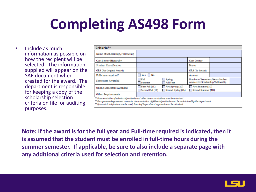## **Completing AS498 Form**

• Include as much information as possible on how the recipient will be selected. The information supplied will appear on the SAE document when created for the award. The department is responsible for keeping a copy of the scholarship selection criteria on file for auditing purposes.

| Criteria**                      |                                     |                                         |                                                                         |  |  |  |  |  |  |
|---------------------------------|-------------------------------------|-----------------------------------------|-------------------------------------------------------------------------|--|--|--|--|--|--|
| Name of Scholarship/Fellowship  |                                     |                                         |                                                                         |  |  |  |  |  |  |
| <b>Cost Center Hierarchy</b>    |                                     |                                         | <b>Cost Center</b>                                                      |  |  |  |  |  |  |
| <b>Student Classification</b>   |                                     |                                         | Major                                                                   |  |  |  |  |  |  |
| <b>GPA</b> (For Original Award) |                                     |                                         | <b>GPA</b> (To Retain)                                                  |  |  |  |  |  |  |
| Full-time required?             | Yes No                              |                                         | Amount                                                                  |  |  |  |  |  |  |
| <b>Semesters Awarded</b>        | Fall<br>Summer                      | Spring<br><b>Full Year</b>              | Number of Semesters/Years Student<br>can receive Scholarship/Fellowship |  |  |  |  |  |  |
| <b>Online Semesters Awarded</b> | First Fall (1L)<br>Second Fall (1P) | First Spring (2D)<br>Second Spring (2L) | First Summer (3D)<br>Second Summer (1D)                                 |  |  |  |  |  |  |
| <b>Other Requirements</b>       |                                     |                                         |                                                                         |  |  |  |  |  |  |

\*\* Documentation of scholarship criteria and other donor restrictions must be attached.

\*\* For sponsored agreement accounts, documentation of fellowship criteria must be maintained by the department.

\*\* If unrestricted funds are to be used, Board of Supervisors' approval must be attached.

**Note: If the award is for the full year and Full-time required is indicated, then it is assumed that the student must be enrolled in full-time hours during the summer semester. If applicable, be sure to also include a separate page with any additional criteria used for selection and retention.**

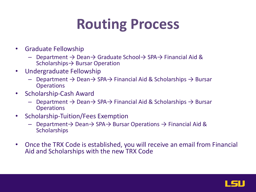## **Routing Process**

- Graduate Fellowship
	- Department → Dean→ Graduate School→ SPA→ Financial Aid & Scholarships→ Bursar Operation
- Undergraduate Fellowship
	- $\rightarrow$  Department  $\rightarrow$  Dean $\rightarrow$  SPA $\rightarrow$  Financial Aid & Scholarships  $\rightarrow$  Bursar **Operations**
- Scholarship-Cash Award
	- Department → Dean→ SPA→ Financial Aid & Scholarships → Bursar **Operations**
- Scholarship-Tuition/Fees Exemption
	- Department→ Dean→ SPA→ Bursar Operations → Financial Aid & **Scholarships**
- Once the TRX Code is established, you will receive an email from Financial Aid and Scholarships with the new TRX Code

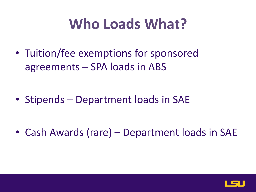#### **Who Loads What?**

• Tuition/fee exemptions for sponsored agreements – SPA loads in ABS

• Stipends – Department loads in SAE

• Cash Awards (rare) – Department loads in SAE

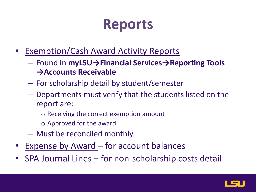#### **Reports**

- Exemption/Cash Award Activity Reports
	- Found in **myLSU→Financial Services→Reporting Tools →Accounts Receivable**
	- For scholarship detail by student/semester
	- Departments must verify that the students listed on the report are:
		- o Receiving the correct exemption amount
		- o Approved for the award
	- Must be reconciled monthly
- Expense by Award for account balances
- SPA Journal Lines for non-scholarship costs detail